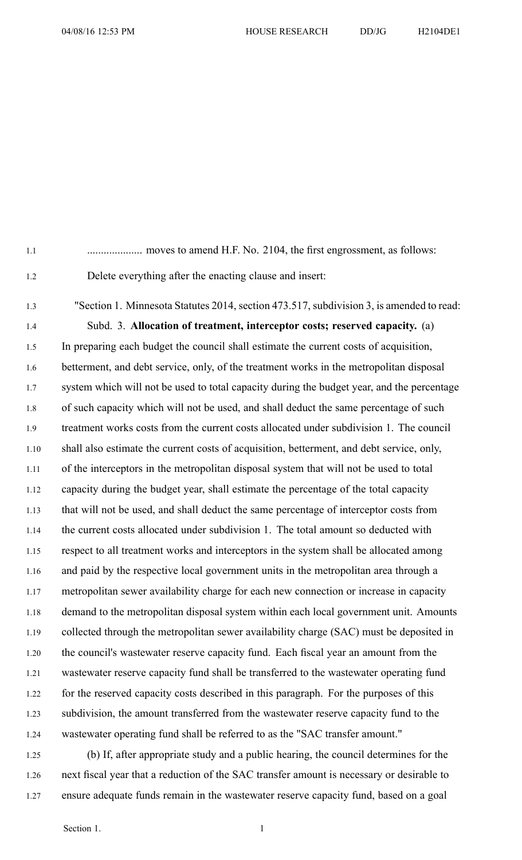- 1.1 .................... moves to amend H.F. No. 2104, the first engrossment, as follows: 1.2 Delete everything after the enacting clause and insert:
- 1.3 "Section 1. Minnesota Statutes 2014, section 473.517, subdivision 3, is amended to read: 1.4 Subd. 3. **Allocation of treatment, interceptor costs; reserved capacity.** (a) 1.5 In preparing each budget the council shall estimate the current costs of acquisition, 1.6 betterment, and debt service, only, of the treatment works in the metropolitan disposal 1.7 system which will not be used to total capacity during the budget year, and the percentage 1.8 of such capacity which will not be used, and shall deduct the same percentage of such 1.9 treatment works costs from the current costs allocated under subdivision 1. The council 1.10 shall also estimate the current costs of acquisition, betterment, and debt service, only, 1.11 of the interceptors in the metropolitan disposal system that will not be used to total 1.12 capacity during the budget year, shall estimate the percentage of the total capacity 1.13 that will not be used, and shall deduct the same percentage of interceptor costs from 1.14 the current costs allocated under subdivision 1. The total amount so deducted with 1.15 respec<sup>t</sup> to all treatment works and interceptors in the system shall be allocated among 1.16 and paid by the respective local governmen<sup>t</sup> units in the metropolitan area through <sup>a</sup> 1.17 metropolitan sewer availability charge for each new connection or increase in capacity 1.18 demand to the metropolitan disposal system within each local governmen<sup>t</sup> unit. Amounts 1.19 collected through the metropolitan sewer availability charge (SAC) must be deposited in 1.20 the council's wastewater reserve capacity fund. Each fiscal year an amount from the 1.21 wastewater reserve capacity fund shall be transferred to the wastewater operating fund 1.22 for the reserved capacity costs described in this paragraph. For the purposes of this 1.23 subdivision, the amount transferred from the wastewater reserve capacity fund to the 1.24 wastewater operating fund shall be referred to as the "SAC transfer amount."
- 1.25 (b) If, after appropriate study and <sup>a</sup> public hearing, the council determines for the 1.26 next fiscal year that <sup>a</sup> reduction of the SAC transfer amount is necessary or desirable to 1.27 ensure adequate funds remain in the wastewater reserve capacity fund, based on <sup>a</sup> goal